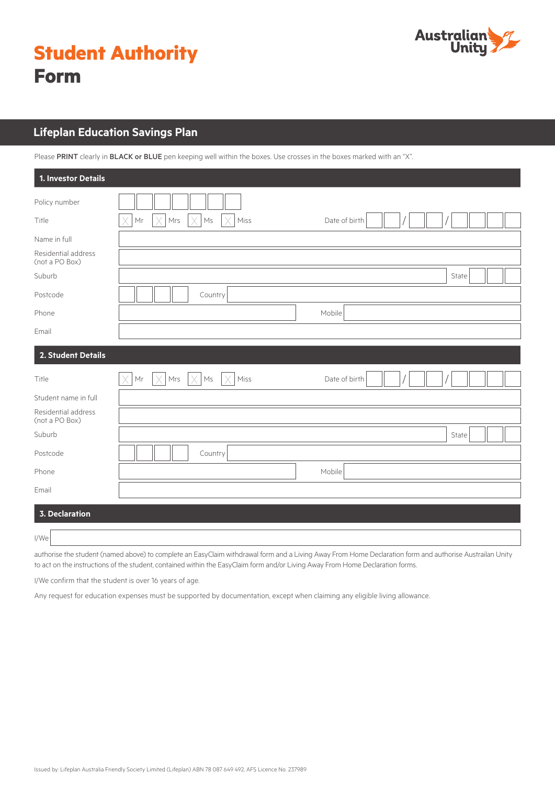

|             | <b>Student Authority</b> |
|-------------|--------------------------|
| <b>Form</b> |                          |

# **Lifeplan Education Savings Plan**

Please PRINT clearly in BLACK or BLUE pen keeping well within the boxes. Use crosses in the boxes marked with an "X".

| 1. Investor Details                   |                                                                                      |
|---------------------------------------|--------------------------------------------------------------------------------------|
| Policy number                         |                                                                                      |
| Title                                 | X<br>Mr<br>X<br>Mrs<br>X<br>$\mathsf{Ms}$<br>Miss<br>Date of birth<br>X              |
| Name in full                          |                                                                                      |
| Residential address<br>(not a PO Box) |                                                                                      |
| Suburb                                | State                                                                                |
| Postcode                              | Country                                                                              |
| Phone                                 | Mobile                                                                               |
| Email                                 |                                                                                      |
| 2. Student Details                    |                                                                                      |
| Title                                 | $\times$<br>$\mathsf{Mr}$<br>X<br>Mrs<br>X<br>Miss<br>$\mathsf{Ms}$<br>Date of birth |
| Student name in full                  |                                                                                      |
| Residential address<br>(not a PO Box) |                                                                                      |
| Suburb                                | State                                                                                |
| Postcode                              | Country                                                                              |
| Phone                                 | Mobile                                                                               |
| Email                                 |                                                                                      |
| <b>3. Declaration</b>                 |                                                                                      |
| I/We                                  |                                                                                      |

authorise the student (named above) to complete an EasyClaim withdrawal form and a Living Away From Home Declaration form and authorise Austrailan Unity to act on the instructions of the student, contained within the EasyClaim form and/or Living Away From Home Declaration forms.

I/We confirm that the student is over 16 years of age.

Any request for education expenses must be supported by documentation, except when claiming any eligible living allowance.